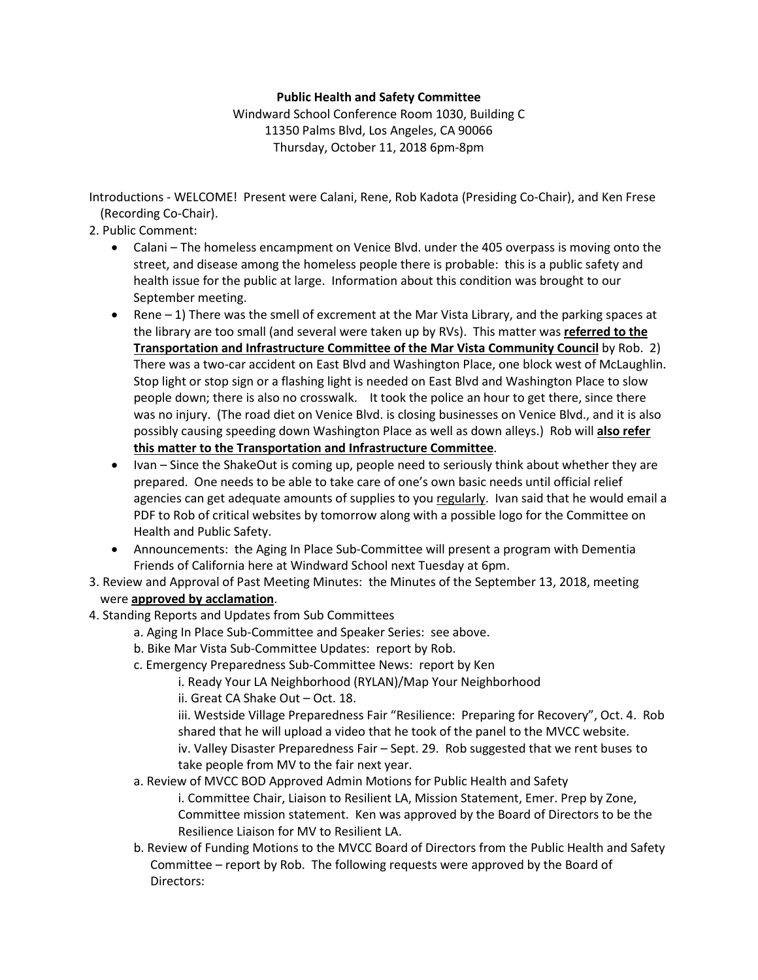## **Public Health and Safety Committee**

Windward School Conference Room 1030, Building C 11350 Palms Blvd, Los Angeles, CA 90066 Thursday, October 11, 2018 6pm-8pm

Introductions - WELCOME! Present were Calani, Rene, Rob Kadota (Presiding Co-Chair), and Ken Frese (Recording Co-Chair).

- 2. Public Comment:
	- Calani The homeless encampment on Venice Blvd. under the 405 overpass is moving onto the street, and disease among the homeless people there is probable: this is a public safety and health issue for the public at large. Information about this condition was brought to our September meeting.
	- Rene 1) There was the smell of excrement at the Mar Vista Library, and the parking spaces at the library are too small (and several were taken up by RVs). This matter was **referred to the Transportation and Infrastructure Committee of the Mar Vista Community Council** by Rob. 2) There was a two-car accident on East Blvd and Washington Place, one block west of McLaughlin. Stop light or stop sign or a flashing light is needed on East Blvd and Washington Place to slow people down; there is also no crosswalk. It took the police an hour to get there, since there was no injury. (The road diet on Venice Blvd. is closing businesses on Venice Blvd., and it is also possibly causing speeding down Washington Place as well as down alleys.) Rob will **also refer this matter to the Transportation and Infrastructure Committee**.
	- Ivan Since the ShakeOut is coming up, people need to seriously think about whether they are prepared. One needs to be able to take care of one's own basic needs until official relief agencies can get adequate amounts of supplies to you regularly. Ivan said that he would email a PDF to Rob of critical websites by tomorrow along with a possible logo for the Committee on Health and Public Safety.
	- Announcements: the Aging In Place Sub-Committee will present a program with Dementia Friends of California here at Windward School next Tuesday at 6pm.
- 3. Review and Approval of Past Meeting Minutes: the Minutes of the September 13, 2018, meeting were **approved by acclamation**.
- 4. Standing Reports and Updates from Sub Committees
	- a. Aging In Place Sub-Committee and Speaker Series: see above.
	- b. Bike Mar Vista Sub-Committee Updates: report by Rob.
	- c. Emergency Preparedness Sub-Committee News: report by Ken

i. Ready Your LA Neighborhood (RYLAN)/Map Your Neighborhood

ii. Great CA Shake Out – Oct. 18.

iii. Westside Village Preparedness Fair "Resilience: Preparing for Recovery", Oct. 4. Rob shared that he will upload a video that he took of the panel to the MVCC website. iv. Valley Disaster Preparedness Fair – Sept. 29. Rob suggested that we rent buses to take people from MV to the fair next year.

a. Review of MVCC BOD Approved Admin Motions for Public Health and Safety

i. Committee Chair, Liaison to Resilient LA, Mission Statement, Emer. Prep by Zone, Committee mission statement. Ken was approved by the Board of Directors to be the Resilience Liaison for MV to Resilient LA.

b. Review of Funding Motions to the MVCC Board of Directors from the Public Health and Safety Committee – report by Rob. The following requests were approved by the Board of Directors: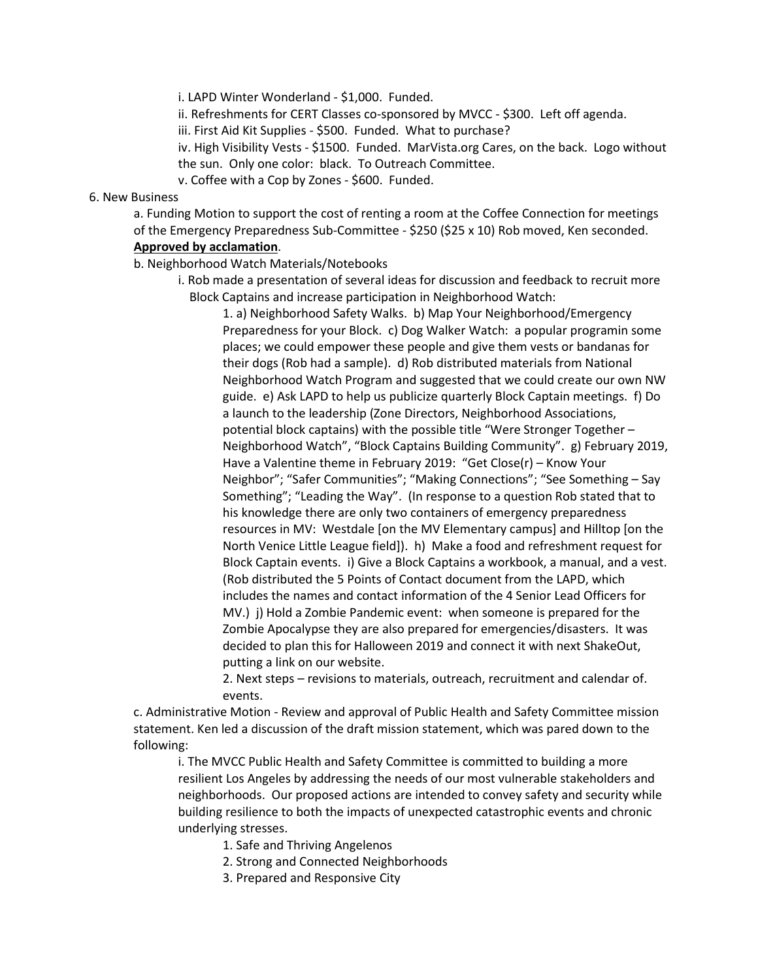i. LAPD Winter Wonderland - \$1,000. Funded.

ii. Refreshments for CERT Classes co-sponsored by MVCC - \$300. Left off agenda.

iii. First Aid Kit Supplies - \$500. Funded. What to purchase?

iv. High Visibility Vests - \$1500. Funded. MarVista.org Cares, on the back. Logo without the sun. Only one color: black. To Outreach Committee.

v. Coffee with a Cop by Zones - \$600. Funded.

## 6. New Business

a. Funding Motion to support the cost of renting a room at the Coffee Connection for meetings of the Emergency Preparedness Sub-Committee - \$250 (\$25 x 10) Rob moved, Ken seconded. **Approved by acclamation**.

b. Neighborhood Watch Materials/Notebooks

i. Rob made a presentation of several ideas for discussion and feedback to recruit more Block Captains and increase participation in Neighborhood Watch:

1. a) Neighborhood Safety Walks. b) Map Your Neighborhood/Emergency Preparedness for your Block. c) Dog Walker Watch: a popular programin some places; we could empower these people and give them vests or bandanas for their dogs (Rob had a sample). d) Rob distributed materials from National Neighborhood Watch Program and suggested that we could create our own NW guide. e) Ask LAPD to help us publicize quarterly Block Captain meetings. f) Do a launch to the leadership (Zone Directors, Neighborhood Associations, potential block captains) with the possible title "Were Stronger Together – Neighborhood Watch", "Block Captains Building Community". g) February 2019, Have a Valentine theme in February 2019: "Get Close(r) – Know Your Neighbor"; "Safer Communities"; "Making Connections"; "See Something – Say Something"; "Leading the Way". (In response to a question Rob stated that to his knowledge there are only two containers of emergency preparedness resources in MV: Westdale [on the MV Elementary campus] and Hilltop [on the North Venice Little League field]). h) Make a food and refreshment request for Block Captain events. i) Give a Block Captains a workbook, a manual, and a vest. (Rob distributed the 5 Points of Contact document from the LAPD, which includes the names and contact information of the 4 Senior Lead Officers for MV.) j) Hold a Zombie Pandemic event: when someone is prepared for the Zombie Apocalypse they are also prepared for emergencies/disasters. It was decided to plan this for Halloween 2019 and connect it with next ShakeOut, putting a link on our website.

2. Next steps – revisions to materials, outreach, recruitment and calendar of. events.

c. Administrative Motion - Review and approval of Public Health and Safety Committee mission statement. Ken led a discussion of the draft mission statement, which was pared down to the following:

i. The MVCC Public Health and Safety Committee is committed to building a more resilient Los Angeles by addressing the needs of our most vulnerable stakeholders and neighborhoods. Our proposed actions are intended to convey safety and security while building resilience to both the impacts of unexpected catastrophic events and chronic underlying stresses.

- 1. Safe and Thriving Angelenos
- 2. Strong and Connected Neighborhoods
- 3. Prepared and Responsive City